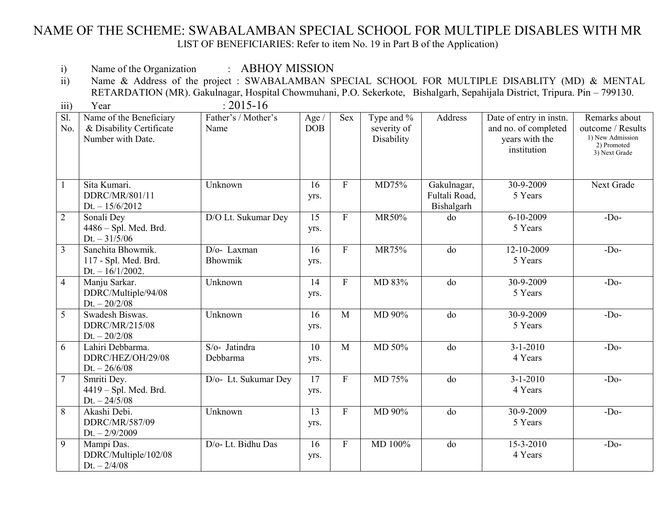## NAME OF THE SCHEME: SWABALAMBAN SPECIAL SCHOOL FOR MULTIPLE DISABLES WITH MR LIST OF BENEFICIARIES: Refer to item No. 19 in Part B of the Application)

i) Name of the Organization : ABHOY MISSION

ii) Name & Address of the project : SWABALAMBAN SPECIAL SCHOOL FOR MULTIPLE DISABLITY (MD) & MENTAL RETARDATION (MR). Gakulnagar, Hospital Chowmuhani, P.O. Sekerkote, Bishalgarh, Sepahijala District, Tripura. Pin – 799130.

| $\overline{iii}$       | Year                                                                     | $: 2015 - 16$               |                              |                           |                                         |                                            |                                                                                  |                                                                                        |
|------------------------|--------------------------------------------------------------------------|-----------------------------|------------------------------|---------------------------|-----------------------------------------|--------------------------------------------|----------------------------------------------------------------------------------|----------------------------------------------------------------------------------------|
| $\overline{SI}$<br>No. | Name of the Beneficiary<br>& Disability Certificate<br>Number with Date. | Father's / Mother's<br>Name | Age $\sqrt{ }$<br><b>DOB</b> | <b>Sex</b>                | Type and %<br>severity of<br>Disability | Address                                    | Date of entry in instn.<br>and no. of completed<br>years with the<br>institution | Remarks about<br>outcome / Results<br>1) New Admission<br>2) Promoted<br>3) Next Grade |
|                        | Sita Kumari.<br>DDRC/MR/801/11<br>$Dt. - 15/6/2012$                      | Unknown                     | 16<br>yrs.                   | $\boldsymbol{\mathrm{F}}$ | MD75%                                   | Gakulnagar,<br>Fultali Road,<br>Bishalgarh | 30-9-2009<br>5 Years                                                             | Next Grade                                                                             |
| $\overline{2}$         | Sonali Dey<br>4486 - Spl. Med. Brd.<br>$Dt. - 31/5/06$                   | D/O Lt. Sukumar Dey         | $\overline{15}$<br>yrs.      | $\overline{F}$            | MR50%                                   | do                                         | $6 - 10 - 2009$<br>5 Years                                                       | $-Do-$                                                                                 |
| $\overline{3}$         | Sanchita Bhowmik.<br>117 - Spl. Med. Brd.<br>$Dt. - 16/1/2002.$          | D/o-Laxman<br>Bhowmik       | 16<br>yrs.                   | $\boldsymbol{\mathrm{F}}$ | MR75%                                   | do                                         | 12-10-2009<br>5 Years                                                            | $-Do-$                                                                                 |
| $\overline{4}$         | Manju Sarkar.<br>DDRC/Multiple/94/08<br>$Dt. - 20/2/08$                  | Unknown                     | 14<br>yrs.                   | $\overline{F}$            | MD 83%                                  | do                                         | 30-9-2009<br>5 Years                                                             | $-Do-$                                                                                 |
| 5                      | Swadesh Biswas.<br>DDRC/MR/215/08<br>$Dt. - 20/2/08$                     | Unknown                     | 16<br>yrs.                   | M                         | MD 90%                                  | do                                         | 30-9-2009<br>5 Years                                                             | $-Do-$                                                                                 |
| 6                      | Lahiri Debbarma.<br>DDRC/HEZ/OH/29/08<br>$Dt. - 26/6/08$                 | S/o- Jatindra<br>Debbarma   | $\overline{10}$<br>yrs.      | M                         | MD 50%                                  | do                                         | $3 - 1 - 2010$<br>4 Years                                                        | $-Do-$                                                                                 |
| $\overline{7}$         | Smriti Dey.<br>4419 - Spl. Med. Brd.<br>$Dt. - 24/5/08$                  | D/o- Lt. Sukumar Dey        | $\overline{17}$<br>yrs.      | $\boldsymbol{\mathrm{F}}$ | MD 75%                                  | do                                         | $3 - 1 - 2010$<br>4 Years                                                        | $-Do-$                                                                                 |
| $8\,$                  | Akashi Debi.<br>DDRC/MR/587/09<br>$Dt. - 2/9/2009$                       | Unknown                     | $\overline{13}$<br>yrs.      | $\overline{F}$            | MD 90%                                  | do                                         | 30-9-2009<br>5 Years                                                             | $-Do-$                                                                                 |
| 9                      | Mampi Das.<br>DDRC/Multiple/102/08<br>$Dt. - 2/4/08$                     | D/o- Lt. Bidhu Das          | 16<br>yrs.                   | $\mathbf F$               | MD 100%                                 | do                                         | 15-3-2010<br>4 Years                                                             | $-Do-$                                                                                 |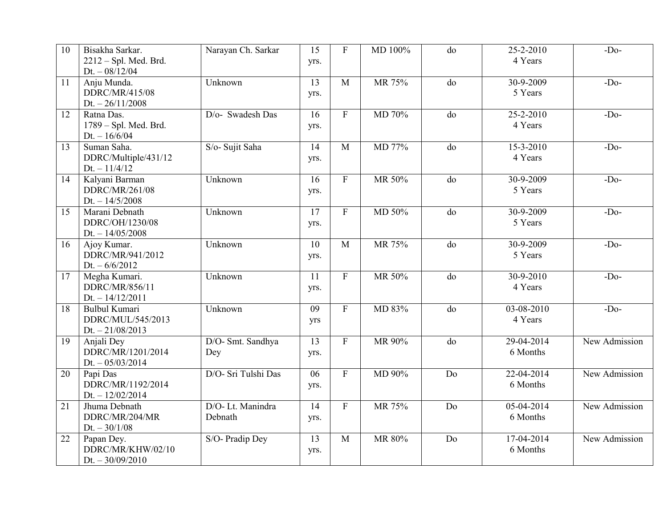| 10              | Bisakha Sarkar.<br>2212 - Spl. Med. Brd. | Narayan Ch. Sarkar  | 15<br>yrs.      | $\overline{F}$ | MD 100% | do             | 25-2-2010<br>4 Years | $-Do-$        |
|-----------------|------------------------------------------|---------------------|-----------------|----------------|---------|----------------|----------------------|---------------|
|                 | $Dt. - 08/12/04$                         |                     |                 |                |         |                |                      |               |
| 11              | Anju Munda.                              | Unknown             | $\overline{13}$ | $\mathbf{M}$   | MR 75%  | do             | 30-9-2009            | $-Do-$        |
|                 | DDRC/MR/415/08                           |                     | yrs.            |                |         |                | 5 Years              |               |
|                 | $Dt. - 26/11/2008$                       |                     |                 |                |         |                |                      |               |
| 12              | Ratna Das.                               | D/o- Swadesh Das    | 16              | $\overline{F}$ | MD 70%  | do             | $25 - 2 - 2010$      | $-Do-$        |
|                 | 1789 - Spl. Med. Brd.                    |                     | yrs.            |                |         |                | 4 Years              |               |
|                 | $Dt. - 16/6/04$                          |                     |                 |                |         |                |                      |               |
| 13              | Suman Saha.                              | S/o- Sujit Saha     | 14              | $\mathbf{M}$   | MD 77%  | do             | $15 - 3 - 2010$      | $-Do-$        |
|                 | DDRC/Multiple/431/12                     |                     | yrs.            |                |         |                | 4 Years              |               |
| 14              | $Dt. - 11/4/12$<br>Kalyani Barman        | Unknown             | 16              | $\overline{F}$ | MR 50%  | do             | 30-9-2009            | $-Do-$        |
|                 | DDRC/MR/261/08                           |                     |                 |                |         |                | 5 Years              |               |
|                 | $Dt. - 14/5/2008$                        |                     | yrs.            |                |         |                |                      |               |
| $\overline{15}$ | Marani Debnath                           | Unknown             | 17              | $\overline{F}$ | MD 50%  | do             | $30 - 9 - 2009$      | $-Do-$        |
|                 | DDRC/OH/1230/08                          |                     | yrs.            |                |         |                | 5 Years              |               |
|                 | $Dt. - 14/05/2008$                       |                     |                 |                |         |                |                      |               |
| 16              | Ajoy Kumar.                              | Unknown             | 10              | $\overline{M}$ | MR 75%  | do             | 30-9-2009            | $-Do-$        |
|                 | DDRC/MR/941/2012                         |                     | yrs.            |                |         |                | 5 Years              |               |
|                 | Dt. $-6/6/2012$                          |                     |                 |                |         |                |                      |               |
| 17              | Megha Kumari.                            | Unknown             | 11              | $\mathbf F$    | MR 50%  | do             | 30-9-2010            | $-Do-$        |
|                 | DDRC/MR/856/11                           |                     | yrs.            |                |         |                | 4 Years              |               |
|                 | $Dt. - 14/12/2011$                       |                     |                 |                |         |                |                      |               |
| 18              | <b>Bulbul Kumari</b>                     | Unknown             | $\overline{09}$ | $\overline{F}$ | MD 83%  | $\overline{d}$ | $03 - 08 - 2010$     | $-Do-$        |
|                 | DDRC/MUL/545/2013                        |                     | yrs             |                |         |                | 4 Years              |               |
|                 | $Dt. - 21/08/2013$                       |                     |                 |                |         |                |                      |               |
| 19              | Anjali Dey                               | D/O- Smt. Sandhya   | $\overline{13}$ | $\overline{F}$ | MR 90%  | do             | 29-04-2014           | New Admission |
|                 | DDRC/MR/1201/2014                        | Dey                 | yrs.            |                |         |                | 6 Months             |               |
|                 | $Dt. - 05/03/2014$                       |                     |                 |                |         |                |                      |               |
| 20              | Papi Das                                 | D/O- Sri Tulshi Das | 06              | $\overline{F}$ | MD 90%  | D <sub>0</sub> | $22 - 04 - 2014$     | New Admission |
|                 | DDRC/MR/1192/2014                        |                     | yrs.            |                |         |                | 6 Months             |               |
|                 | $Dt. - 12/02/2014$                       |                     |                 |                |         |                |                      |               |
| 21              | Jhuma Debnath                            | D/O-Lt. Manindra    | 14              | $\overline{F}$ | MR 75%  | D <sub>0</sub> | 05-04-2014           | New Admission |
|                 | DDRC/MR/204/MR                           | Debnath             | yrs.            |                |         |                | 6 Months             |               |
|                 | Dt. $-30/1/08$                           |                     | 13              | M              | MR 80%  | Do             | 17-04-2014           | New Admission |
| 22              | Papan Dey.<br>DDRC/MR/KHW/02/10          | S/O- Pradip Dey     |                 |                |         |                | 6 Months             |               |
|                 | $Dt. - 30/09/2010$                       |                     | yrs.            |                |         |                |                      |               |
|                 |                                          |                     |                 |                |         |                |                      |               |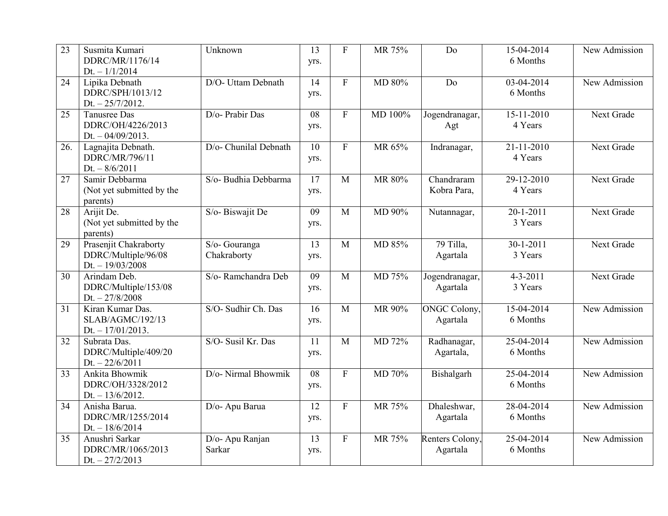| 23  | Susmita Kumari<br>DDRC/MR/1176/14<br>Dt. $-1/1/2014$               | Unknown                      | 13<br>yrs.              | ${\bf F}$                 | MR 75%  | Do                               | 15-04-2014<br>6 Months            | New Admission |
|-----|--------------------------------------------------------------------|------------------------------|-------------------------|---------------------------|---------|----------------------------------|-----------------------------------|---------------|
| 24  | Lipika Debnath<br>DDRC/SPH/1013/12<br>$Dt. - 25/7/2012.$           | D/O- Uttam Debnath           | 14<br>yrs.              | $\boldsymbol{\mathrm{F}}$ | MD 80%  | Do                               | $03-04-2014$<br>6 Months          | New Admission |
| 25  | Tanusree Das<br>DDRC/OH/4226/2013<br>Dt. $-04/09/2013$ .           | D/o- Prabir Das              | 08<br>yrs.              | $\mathbf{F}$              | MD 100% | Jogendranagar,<br>Agt            | $15 - 11 - 2010$<br>4 Years       | Next Grade    |
| 26. | Lagnajita Debnath.<br>DDRC/MR/796/11<br>Dt. $-8/6/2011$            | D/o- Chunilal Debnath        | $\overline{10}$<br>yrs. | ${\bf F}$                 | MR 65%  | Indranagar,                      | $21 - 11 - 2010$<br>4 Years       | Next Grade    |
| 27  | Samir Debbarma<br>(Not yet submitted by the<br>parents)            | S/o- Budhia Debbarma         | $\overline{17}$<br>yrs. | M                         | MR 80%  | Chandraram<br>Kobra Para,        | 29-12-2010<br>4 Years             | Next Grade    |
| 28  | Arijit De.<br>(Not yet submitted by the<br>parents)                | S/o-Biswajit De              | 09<br>yrs.              | M                         | MD 90%  | Nutannagar,                      | $\overline{20-1-2011}$<br>3 Years | Next Grade    |
| 29  | Prasenjit Chakraborty<br>DDRC/Multiple/96/08<br>$Dt. - 19/03/2008$ | S/o- Gouranga<br>Chakraborty | 13<br>yrs.              | M                         | MD 85%  | 79 Tilla,<br>Agartala            | $30-1-2011$<br>3 Years            | Next Grade    |
| 30  | Arindam Deb.<br>DDRC/Multiple/153/08<br>$Dt. - 27/8/2008$          | S/o-Ramchandra Deb           | 09<br>yrs.              | M                         | MD 75%  | Jogendranagar,<br>Agartala       | $4 - 3 - 2011$<br>3 Years         | Next Grade    |
| 31  | Kiran Kumar Das.<br>SLAB/AGMC/192/13<br>Dt. $-17/01/2013$ .        | S/O- Sudhir Ch. Das          | 16<br>yrs.              | M                         | MR 90%  | <b>ONGC Colony</b> ,<br>Agartala | 15-04-2014<br>6 Months            | New Admission |
| 32  | Subrata Das.<br>DDRC/Multiple/409/20<br>Dt. $-22/6/2011$           | S/O- Susil Kr. Das           | $\overline{11}$<br>yrs. | $\overline{M}$            | MD 72%  | Radhanagar,<br>Agartala,         | 25-04-2014<br>6 Months            | New Admission |
| 33  | Ankita Bhowmik<br>DDRC/OH/3328/2012<br>$Dt. - 13/6/2012.$          | D/o- Nirmal Bhowmik          | $\overline{08}$<br>yrs. | $\overline{F}$            | MD 70%  | Bishalgarh                       | $25-04-2014$<br>6 Months          | New Admission |
| 34  | Anisha Barua.<br>DDRC/MR/1255/2014<br>$Dt. - 18/6/2014$            | D/o- Apu Barua               | 12<br>yrs.              | $\overline{F}$            | MR 75%  | Dhaleshwar,<br>Agartala          | 28-04-2014<br>6 Months            | New Admission |
| 35  | Anushri Sarkar<br>DDRC/MR/1065/2013<br>$Dt. - 27/2/2013$           | D/o- Apu Ranjan<br>Sarkar    | 13<br>yrs.              | $\mathbf F$               | MR 75%  | Renters Colony,<br>Agartala      | $25-04-2014$<br>6 Months          | New Admission |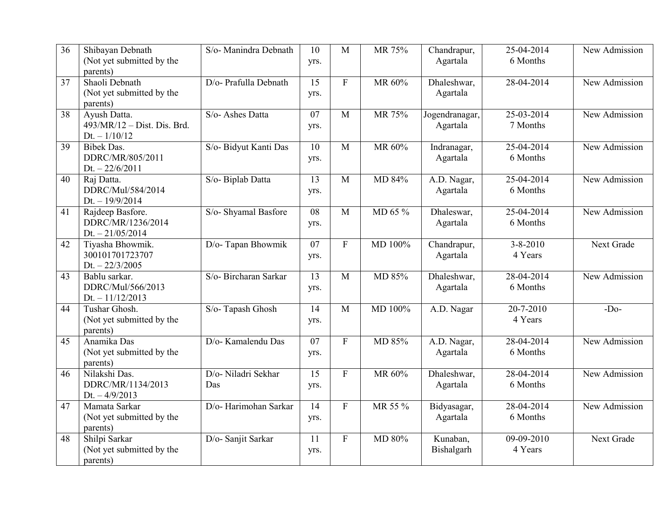| 36              | Shibayan Debnath<br>(Not yet submitted by the | S/o- Manindra Debnath | 10<br>yrs.      | M              | MR 75%  | Chandrapur,<br>Agartala | 25-04-2014<br>6 Months | New Admission |
|-----------------|-----------------------------------------------|-----------------------|-----------------|----------------|---------|-------------------------|------------------------|---------------|
|                 | parents)                                      |                       |                 |                |         |                         |                        |               |
| 37              | Shaoli Debnath                                | D/o- Prafulla Debnath | $\overline{15}$ | $\overline{F}$ | MR 60%  | Dhaleshwar,             | 28-04-2014             | New Admission |
|                 | (Not yet submitted by the                     |                       | yrs.            |                |         | Agartala                |                        |               |
|                 | parents)                                      |                       |                 |                |         |                         |                        |               |
| 38              | Ayush Datta.                                  | S/o- Ashes Datta      | 07              | $\mathbf{M}$   | MR 75%  | Jogendranagar,          | 25-03-2014             | New Admission |
|                 | 493/MR/12 - Dist. Dis. Brd.                   |                       | yrs.            |                |         | Agartala                | 7 Months               |               |
|                 | $Dt. - 1/10/12$                               |                       |                 |                |         |                         |                        |               |
| 39              | <b>Bibek Das.</b>                             | S/o- Bidyut Kanti Das | 10              | M              | MR 60%  | Indranagar,             | 25-04-2014             | New Admission |
|                 | DDRC/MR/805/2011                              |                       | yrs.            |                |         | Agartala                | 6 Months               |               |
| 40              | Dt. $-22/6/2011$                              |                       | 13              | M              |         |                         | 25-04-2014             | New Admission |
|                 | Raj Datta.<br>DDRC/Mul/584/2014               | S/o- Biplab Datta     |                 |                | MD 84%  | A.D. Nagar,             | 6 Months               |               |
|                 | Dt. $-19/9/2014$                              |                       | yrs.            |                |         | Agartala                |                        |               |
| $\overline{41}$ | Rajdeep Basfore.                              | S/o- Shyamal Basfore  | $\overline{08}$ | M              | MD 65 % | Dhaleswar,              | 25-04-2014             | New Admission |
|                 | DDRC/MR/1236/2014                             |                       | yrs.            |                |         | Agartala                | 6 Months               |               |
|                 | $Dt. - 21/05/2014$                            |                       |                 |                |         |                         |                        |               |
| 42              | Tiyasha Bhowmik.                              | D/o-Tapan Bhowmik     | $\overline{07}$ | $\overline{F}$ | MD 100% | Chandrapur,             | $3 - 8 - 2010$         | Next Grade    |
|                 | 300101701723707                               |                       | yrs.            |                |         | Agartala                | 4 Years                |               |
|                 | $Dt. - 22/3/2005$                             |                       |                 |                |         |                         |                        |               |
| 43              | Bablu sarkar.                                 | S/o- Bircharan Sarkar | 13              | M              | MD 85%  | Dhaleshwar,             | 28-04-2014             | New Admission |
|                 | DDRC/Mul/566/2013                             |                       | yrs.            |                |         | Agartala                | 6 Months               |               |
|                 | $Dt. - 11/12/2013$                            |                       |                 |                |         |                         |                        |               |
| 44              | Tushar Ghosh.                                 | S/o-Tapash Ghosh      | $\overline{14}$ | $\overline{M}$ | MD 100% | A.D. Nagar              | $20 - 7 - 2010$        | $-Do-$        |
|                 | (Not yet submitted by the                     |                       | yrs.            |                |         |                         | 4 Years                |               |
| 45              | parents)<br>Anamika Das                       | D/o- Kamalendu Das    | 07              | $\overline{F}$ | MD 85%  |                         | 28-04-2014             | New Admission |
|                 | (Not yet submitted by the                     |                       | yrs.            |                |         | A.D. Nagar,<br>Agartala | 6 Months               |               |
|                 | parents)                                      |                       |                 |                |         |                         |                        |               |
| 46              | Nilakshi Das.                                 | D/o- Niladri Sekhar   | $\overline{15}$ | $\overline{F}$ | MR 60%  | Dhaleshwar,             | 28-04-2014             | New Admission |
|                 | DDRC/MR/1134/2013                             | Das                   | yrs.            |                |         | Agartala                | 6 Months               |               |
|                 | Dt. $-4/9/2013$                               |                       |                 |                |         |                         |                        |               |
| 47              | Mamata Sarkar                                 | D/o- Harimohan Sarkar | $\overline{14}$ | $\overline{F}$ | MR 55 % | Bidyasagar,             | 28-04-2014             | New Admission |
|                 | (Not yet submitted by the                     |                       | yrs.            |                |         | Agartala                | 6 Months               |               |
|                 | parents)                                      |                       |                 |                |         |                         |                        |               |
| 48              | Shilpi Sarkar                                 | D/o- Sanjit Sarkar    | 11              | $\mathbf{F}$   | MD 80%  | Kunaban,                | $09-09-2010$           | Next Grade    |
|                 | (Not yet submitted by the                     |                       | yrs.            |                |         | Bishalgarh              | 4 Years                |               |
|                 | parents)                                      |                       |                 |                |         |                         |                        |               |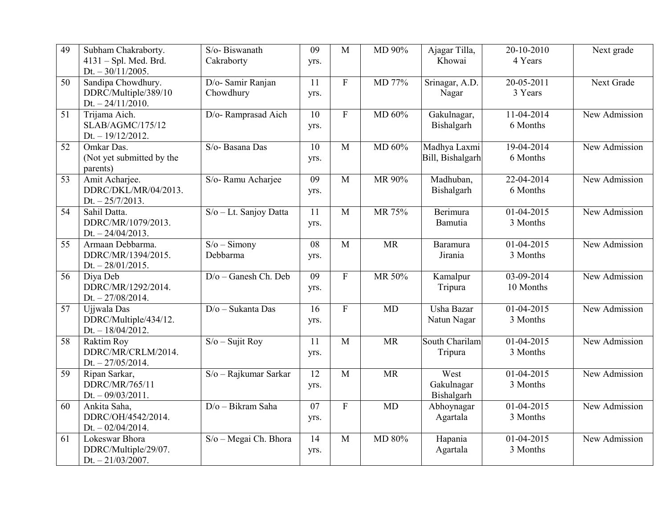| 49 | Subham Chakraborty.                          | S/o-Biswanath          | 09              | M                         | MD 90%    | Ajagar Tilla,<br>Khowai   | 20-10-2010<br>4 Years    | Next grade    |
|----|----------------------------------------------|------------------------|-----------------|---------------------------|-----------|---------------------------|--------------------------|---------------|
|    | 4131 - Spl. Med. Brd.<br>Dt. $-30/11/2005$ . | Cakraborty             | yrs.            |                           |           |                           |                          |               |
| 50 | Sandipa Chowdhury.                           | D/o- Samir Ranjan      | 11              | $\boldsymbol{\mathrm{F}}$ | MD 77%    | Srinagar, A.D.            | $20 - 05 - 2011$         | Next Grade    |
|    | DDRC/Multiple/389/10<br>Dt. $-24/11/2010$ .  | Chowdhury              | yrs.            |                           |           | Nagar                     | 3 Years                  |               |
| 51 | Trijama Aich.                                | D/o-Ramprasad Aich     | 10              | $\mathbf{F}$              | MD 60%    | Gakulnagar,               | $11-04-2014$             | New Admission |
|    | SLAB/AGMC/175/12                             |                        | yrs.            |                           |           | Bishalgarh                | 6 Months                 |               |
|    | $Dt. - 19/12/2012.$                          |                        |                 |                           |           |                           |                          |               |
| 52 | Omkar Das.                                   | S/o- Basana Das        | 10              | M                         | MD 60%    | Madhya Laxmi              | 19-04-2014               | New Admission |
|    | (Not yet submitted by the<br>parents)        |                        | yrs.            |                           |           | Bill, Bishalgarh          | 6 Months                 |               |
| 53 | Amit Acharjee.                               | S/o- Ramu Acharjee     | $\overline{09}$ | $\mathbf M$               | MR 90%    | Madhuban,                 | 22-04-2014               | New Admission |
|    | DDRC/DKL/MR/04/2013.<br>$Dt. - 25/7/2013.$   |                        | yrs.            |                           |           | Bishalgarh                | 6 Months                 |               |
| 54 | Sahil Datta.                                 | S/o - Lt. Sanjoy Datta | 11              | M                         | MR 75%    | Berimura                  | $01 - 04 - 2015$         | New Admission |
|    | DDRC/MR/1079/2013.                           |                        | yrs.            |                           |           | Bamutia                   | 3 Months                 |               |
|    | Dt. $-24/04/2013$ .                          |                        |                 |                           |           |                           |                          |               |
| 55 | Armaan Debbarma.                             | $S/O - Simony$         | 08              | M                         | <b>MR</b> | Baramura                  | $01 - 04 - 2015$         | New Admission |
|    | DDRC/MR/1394/2015.<br>Dt. $-28/01/2015$ .    | Debbarma               | yrs.            |                           |           | Jirania                   | 3 Months                 |               |
| 56 | Diya Deb                                     | D/o - Ganesh Ch. Deb   | 09              | $\mathbf{F}$              | MR 50%    | Kamalpur                  | 03-09-2014               | New Admission |
|    | DDRC/MR/1292/2014.                           |                        | yrs.            |                           |           | Tripura                   | 10 Months                |               |
|    | $Dt. - 27/08/2014.$                          |                        |                 | $\overline{F}$            | MD        |                           |                          |               |
| 57 | Ujjwala Das<br>DDRC/Multiple/434/12.         | $D/O - Sukanta Das$    | 16<br>yrs.      |                           |           | Usha Bazar<br>Natun Nagar | $01-04-2015$<br>3 Months | New Admission |
|    | $Dt. - 18/04/2012.$                          |                        |                 |                           |           |                           |                          |               |
| 58 | Raktim Roy                                   | $S/O -$ Sujit Roy      | 11              | $\overline{M}$            | <b>MR</b> | South Charilam            | $01-04-2015$             | New Admission |
|    | DDRC/MR/CRLM/2014.                           |                        | yrs.            |                           |           | Tripura                   | 3 Months                 |               |
| 59 | Dt. $-27/05/2014$ .<br>Ripan Sarkar,         | S/o - Rajkumar Sarkar  | $\overline{12}$ | $\overline{M}$            | <b>MR</b> | West                      | $01-04-2015$             | New Admission |
|    | DDRC/MR/765/11                               |                        | yrs.            |                           |           | Gakulnagar                | 3 Months                 |               |
|    | Dt. $-09/03/2011$ .                          |                        |                 |                           |           | Bishalgarh                |                          |               |
| 60 | Ankita Saha,                                 | $D/O - Bikram Saha$    | 07              | $\overline{F}$            | MD        | Abhoynagar                | 01-04-2015               | New Admission |
|    | DDRC/OH/4542/2014.                           |                        | yrs.            |                           |           | Agartala                  | 3 Months                 |               |
| 61 | Dt. $-02/04/2014$ .<br>Lokeswar Bhora        | S/o - Megai Ch. Bhora  | 14              | M                         | MD 80%    | Hapania                   | $01-04-2015$             | New Admission |
|    | DDRC/Multiple/29/07.                         |                        | yrs.            |                           |           | Agartala                  | 3 Months                 |               |
|    | $Dt. - 21/03/2007.$                          |                        |                 |                           |           |                           |                          |               |